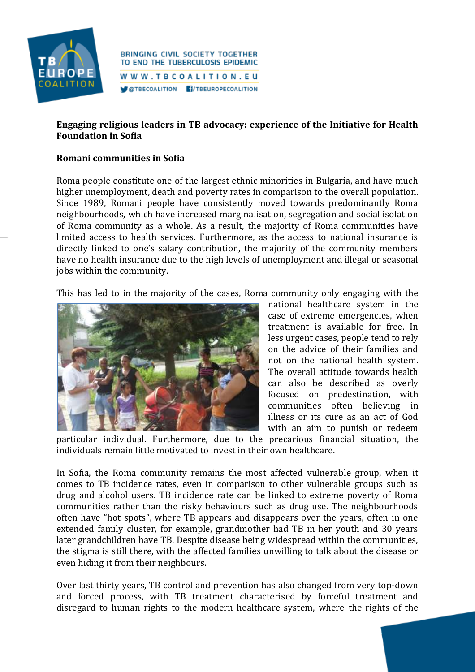

#### **BRINGING CIVIL SOCIETY TOGETHER** TO END THE TUBERCULOSIS EPIDEMIC WWW.TBCOALITION.EU **OTBECOALITION f**/TBEUROPECOALITION

# **Engaging religious leaders in TB advocacy: experience of the Initiative for Health Foundation in Sofia**

## **Romani communities in Sofia**

Roma people constitute one of the largest ethnic minorities in Bulgaria, and have much higher unemployment, death and poverty rates in comparison to the overall population. Since 1989, Romani people have consistently moved towards predominantly Roma neighbourhoods, which have increased marginalisation, segregation and social isolation of Roma community as a whole. As a result, the majority of Roma communities have limited access to health services. Furthermore, as the access to national insurance is directly linked to one's salary contribution, the majority of the community members have no health insurance due to the high levels of unemployment and illegal or seasonal jobs within the community.

This has led to in the majority of the cases, Roma community only engaging with the



national healthcare system in the case of extreme emergencies, when treatment is available for free. In less urgent cases, people tend to rely on the advice of their families and not on the national health system. The overall attitude towards health can also be described as overly focused on predestination, with communities often believing in illness or its cure as an act of God with an aim to punish or redeem

particular individual. Furthermore, due to the precarious financial situation, the individuals remain little motivated to invest in their own healthcare.

In Sofia, the Roma community remains the most affected vulnerable group, when it comes to TB incidence rates, even in comparison to other vulnerable groups such as drug and alcohol users. TB incidence rate can be linked to extreme poverty of Roma communities rather than the risky behaviours such as drug use. The neighbourhoods often have "hot spots", where TB appears and disappears over the years, often in one extended family cluster, for example, grandmother had TB in her youth and 30 years later grandchildren have TB. Despite disease being widespread within the communities, the stigma is still there, with the affected families unwilling to talk about the disease or even hiding it from their neighbours.

Over last thirty years, TB control and prevention has also changed from very top-down and forced process, with TB treatment characterised by forceful treatment and disregard to human rights to the modern healthcare system, where the rights of the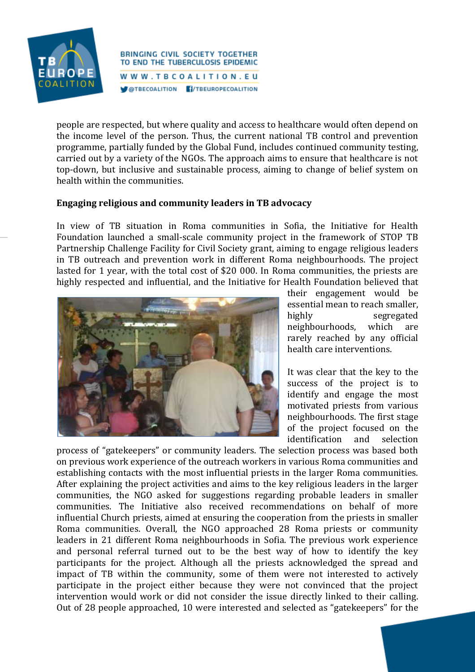

**BRINGING CIVIL SOCIETY TOGETHER** TO END THE TUBERCULOSIS EPIDEMIC WWW.TBCOALITION.EU **OTBECOALITION F/TBEUROPECOALITION** 

people are respected, but where quality and access to healthcare would often depend on the income level of the person. Thus, the current national TB control and prevention programme, partially funded by the Global Fund, includes continued community testing, carried out by a variety of the NGOs. The approach aims to ensure that healthcare is not top-down, but inclusive and sustainable process, aiming to change of belief system on health within the communities.

### **Engaging religious and community leaders in TB advocacy**

In view of TB situation in Roma communities in Sofia, the Initiative for Health Foundation launched a small-scale community project in the framework of STOP TB Partnership Challenge Facility for Civil Society grant, aiming to engage religious leaders in TB outreach and prevention work in different Roma neighbourhoods. The project lasted for 1 year, with the total cost of \$20 000. In Roma communities, the priests are highly respected and influential, and the Initiative for Health Foundation believed that



their engagement would be essential mean to reach smaller, highly segregated neighbourhoods, which are rarely reached by any official health care interventions.

It was clear that the key to the success of the project is to identify and engage the most motivated priests from various neighbourhoods. The first stage of the project focused on the identification and selection

process of "gatekeepers" or community leaders. The selection process was based both on previous work experience of the outreach workers in various Roma communities and establishing contacts with the most influential priests in the larger Roma communities. After explaining the project activities and aims to the key religious leaders in the larger communities, the NGO asked for suggestions regarding probable leaders in smaller communities. The Initiative also received recommendations on behalf of more influential Church priests, aimed at ensuring the cooperation from the priests in smaller Roma communities. Overall, the NGO approached 28 Roma priests or community leaders in 21 different Roma neighbourhoods in Sofia. The previous work experience and personal referral turned out to be the best way of how to identify the key participants for the project. Although all the priests acknowledged the spread and impact of TB within the community, some of them were not interested to actively participate in the project either because they were not convinced that the project intervention would work or did not consider the issue directly linked to their calling. Out of 28 people approached, 10 were interested and selected as "gatekeepers" for the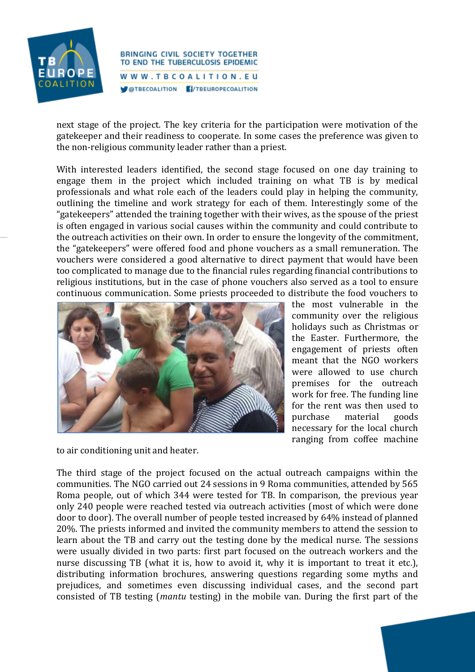

**BRINGING CIVIL SOCIETY TOGETHER** TO END THE TUBERCULOSIS EPIDEMIC WWW.TBCOALITION.EU **OTBECOALITION f**/TBEUROPECOALITION

next stage of the project. The key criteria for the participation were motivation of the gatekeeper and their readiness to cooperate. In some cases the preference was given to the non-religious community leader rather than a priest.

With interested leaders identified, the second stage focused on one day training to engage them in the project which included training on what TB is by medical professionals and what role each of the leaders could play in helping the community, outlining the timeline and work strategy for each of them. Interestingly some of the "gatekeepers" attended the training together with their wives, as the spouse of the priest is often engaged in various social causes within the community and could contribute to the outreach activities on their own. In order to ensure the longevity of the commitment, the "gatekeepers" were offered food and phone vouchers as a small remuneration. The vouchers were considered a good alternative to direct payment that would have been too complicated to manage due to the financial rules regarding financial contributions to religious institutions, but in the case of phone vouchers also served as a tool to ensure continuous communication. Some priests proceeded to distribute the food vouchers to



the most vulnerable in the community over the religious holidays such as Christmas or the Easter. Furthermore, the engagement of priests often meant that the NGO workers were allowed to use church premises for the outreach work for free. The funding line for the rent was then used to purchase material goods necessary for the local church ranging from coffee machine

to air conditioning unit and heater.

The third stage of the project focused on the actual outreach campaigns within the communities. The NGO carried out 24 sessions in 9 Roma communities, attended by 565 Roma people, out of which 344 were tested for TB. In comparison, the previous year only 240 people were reached tested via outreach activities (most of which were done door to door). The overall number of people tested increased by 64% instead of planned 20%. The priests informed and invited the community members to attend the session to learn about the TB and carry out the testing done by the medical nurse. The sessions were usually divided in two parts: first part focused on the outreach workers and the nurse discussing TB (what it is, how to avoid it, why it is important to treat it etc.), distributing information brochures, answering questions regarding some myths and prejudices, and sometimes even discussing individual cases, and the second part consisted of TB testing (*mantu* testing) in the mobile van. During the first part of the